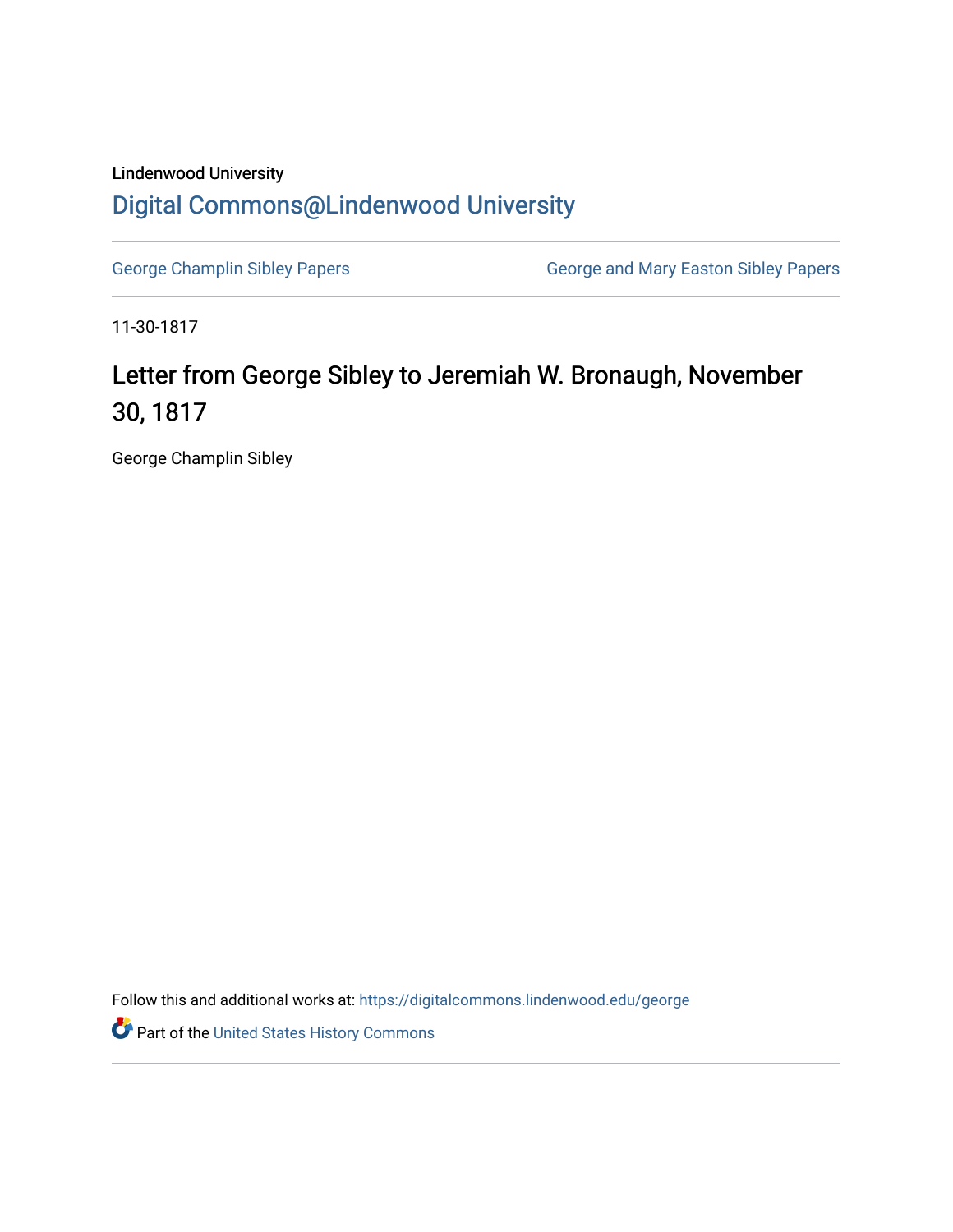## Lindenwood University [Digital Commons@Lindenwood University](https://digitalcommons.lindenwood.edu/)

[George Champlin Sibley Papers](https://digitalcommons.lindenwood.edu/george) **George and Mary Easton Sibley Papers** George and Mary Easton Sibley Papers

11-30-1817

## Letter from George Sibley to Jeremiah W. Bronaugh, November 30, 1817

George Champlin Sibley

Follow this and additional works at: [https://digitalcommons.lindenwood.edu/george](https://digitalcommons.lindenwood.edu/george?utm_source=digitalcommons.lindenwood.edu%2Fgeorge%2F304&utm_medium=PDF&utm_campaign=PDFCoverPages)

Part of the [United States History Commons](http://network.bepress.com/hgg/discipline/495?utm_source=digitalcommons.lindenwood.edu%2Fgeorge%2F304&utm_medium=PDF&utm_campaign=PDFCoverPages)